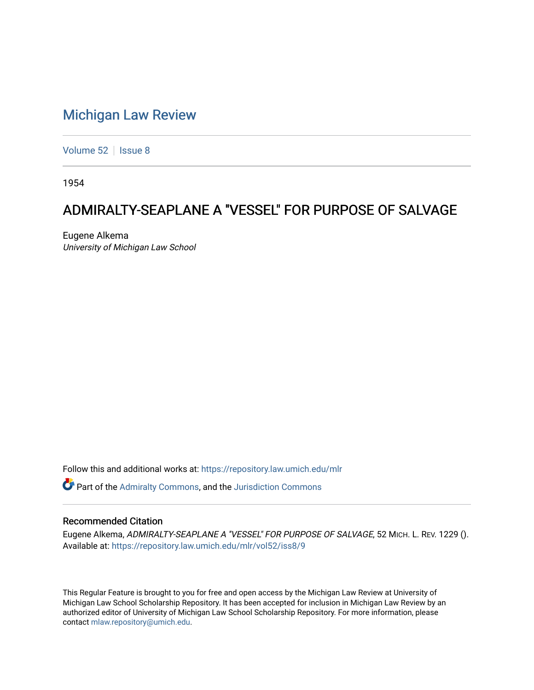## [Michigan Law Review](https://repository.law.umich.edu/mlr)

[Volume 52](https://repository.law.umich.edu/mlr/vol52) | [Issue 8](https://repository.law.umich.edu/mlr/vol52/iss8)

1954

## ADMIRALTY-SEAPLANE A "VESSEL" FOR PURPOSE OF SALVAGE

Eugene Alkema University of Michigan Law School

Follow this and additional works at: [https://repository.law.umich.edu/mlr](https://repository.law.umich.edu/mlr?utm_source=repository.law.umich.edu%2Fmlr%2Fvol52%2Fiss8%2F9&utm_medium=PDF&utm_campaign=PDFCoverPages) 

Part of the [Admiralty Commons](http://network.bepress.com/hgg/discipline/580?utm_source=repository.law.umich.edu%2Fmlr%2Fvol52%2Fiss8%2F9&utm_medium=PDF&utm_campaign=PDFCoverPages), and the [Jurisdiction Commons](http://network.bepress.com/hgg/discipline/850?utm_source=repository.law.umich.edu%2Fmlr%2Fvol52%2Fiss8%2F9&utm_medium=PDF&utm_campaign=PDFCoverPages) 

## Recommended Citation

Eugene Alkema, ADMIRALTY-SEAPLANE A "VESSEL" FOR PURPOSE OF SALVAGE, 52 MICH. L. REV. 1229 (). Available at: [https://repository.law.umich.edu/mlr/vol52/iss8/9](https://repository.law.umich.edu/mlr/vol52/iss8/9?utm_source=repository.law.umich.edu%2Fmlr%2Fvol52%2Fiss8%2F9&utm_medium=PDF&utm_campaign=PDFCoverPages)

This Regular Feature is brought to you for free and open access by the Michigan Law Review at University of Michigan Law School Scholarship Repository. It has been accepted for inclusion in Michigan Law Review by an authorized editor of University of Michigan Law School Scholarship Repository. For more information, please contact [mlaw.repository@umich.edu](mailto:mlaw.repository@umich.edu).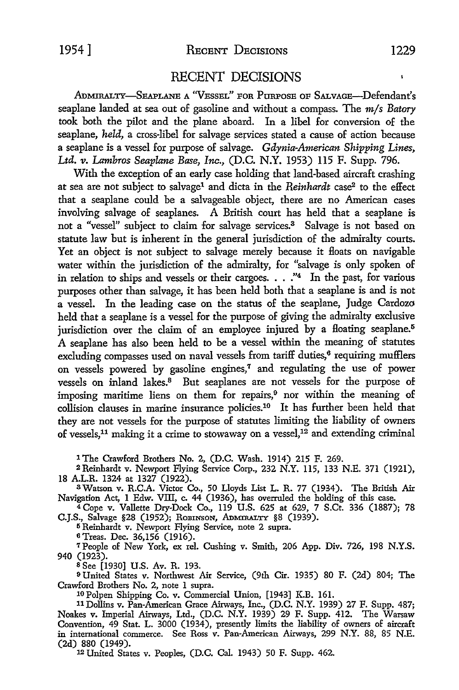## RECENT DECISIONS

ADMIRALTY-SEAPLANE A ''VESSEL" FOR PURPOSE OF SALVAGE-Defendant's seaplane landed at sea out of gasoline and without a compass. The *m/s Batory*  took both the pilot and the plane aboard. In a libel for conversion of the seaplane, *held,* a cross-libel for salvage services stated a cause of action because a seaplane is a vessel for purpose of salvage. *Gdynia-American Shipping Lines, Ltd. v. Lambros Seaplane Base, Inc.,* (D.C. N.Y. 1953) 115 F. Supp. 796.

With the exception of an early case holding that land-based aircraft crashing at sea are not subject to salvage1 and dicta in the *Reinhardt* case2 to the effect that a seaplane could be a salvageable object, there are no American cases involving salvage of seaplanes. A British court has held that a seaplane is not a "vessel" subject to claim for salvage services.<sup>3</sup> Salvage is not based on statute law but is inherent in the general jurisdiction of the admiralty courts. Yet an object is not subject to salvage merely because it floats on navigable water within the jurisdiction of the admiralty, for "salvage is only spoken of in relation to ships and vessels or their cargoes.  $\ldots$ ."<sup>4</sup> In the past, for various purposes other than salvage, it has been held both that a seaplane is and is not a vessel. In the leading case on the status of the seaplane, Judge Cardozo held that a seaplane is a vessel for the purpose of giving the admiralty exclusive jurisdiction over the claim of an employee injured by a floating seaplane.<sup>5</sup> A seaplane has also been held to be a vessel within the meaning of statutes excluding compasses used on naval vessels from tariff duties, $6$  requiring mufflers on vessels powered by gasoline engines,<sup>7</sup>and regulating the use of power vessels on inland lakes.<sup>8</sup> But seaplanes are not vessels for the purpose of imposing maritime liens on them for repairs,<sup>9</sup> nor within the meaning of collision clauses in marine insurance policies.10 It has further been held that they are not vessels for the purpose of statutes limiting the liability of owners of vessels,<sup>11</sup> making it a crime to stowaway on a vessel,<sup>12</sup> and extending criminal

1 The Crawford Brothers No. 2, (D.C. Wash. 1914) 215 F. 269.

2 Reinhardt v. Newport Flying Service Corp., 232 N.Y. 115, 133 N.E. 371 (1921), 18 A.L.R. 1324 at 1327 (1922).

3Watson v. R.C.A. Victor Co., 50 Lloyds List L. R. 77 (1934). The British Air Navigation Act, 1 Edw. VIII, c. 44 (1936), has overruled the holding of this case.

<sup>4</sup>Cope v. Vallette Dry-Dock Co., 119 U.S. 625 at 629, 7 S.Ct. 336 (1887); 78 C.J.S., Salvage §28 (1952); ROBINSON, ADMIRALTY §8 (1939).

<sup>5</sup>Reinhardt v. Newport Flying Service, note 2 supra.

<sup>6</sup>Treas. Dec. 36,156 (1916).

7People of New York, ex rel. Cushing v. Smith, 206 App. Div. 726, 198 N.Y.S. 940 (1923).

s See [1930] U.S. Av. R. 193.

<sup>9</sup>United States v. Northwest Air Service, (9th Cir. 1935) 80 F. (2d) 804; The Crawford Brothers No. 2, note 1 supra.

10 Polpen Shipping Co. v. Commercial Union, [1943] K.B. 161.

11 Dollins v. Pan-American Grace Airways, Inc., (D.C. N.Y. 1939) 27 F. Supp. 487; Noakes v. Imperial Airways, Ltd., (D.C. N.Y. 1939) 29 F. Supp. 412. The Warsaw Convention, 49 Stat. L. 3000 (1934), presently limits the liability of owners of aircraft in international commerce. See Ross v. Pan-American Airways, 299 N.Y. 88, 85 N.E. (2d) 880 (1949).

12 United States v. Peoples, (D.C. Cal. 1943) 50 F. Supp. 462.